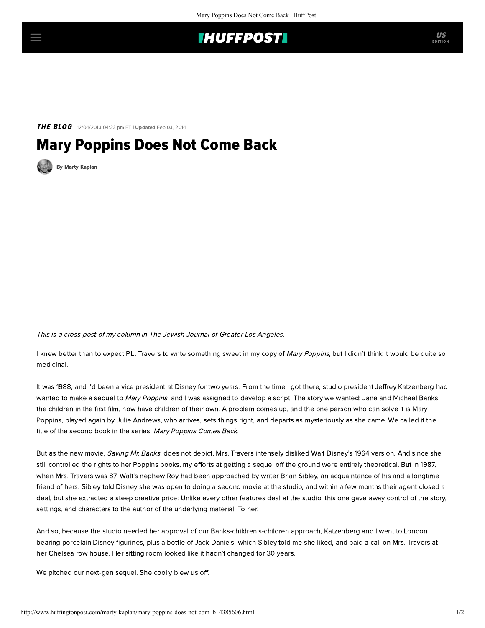## **IHUFFPOSTI**

THE BLOG 12/04/2013 04:23 pm ET | Updated Feb 03, 2014

## Mary Poppins Does Not Come Back

[By Marty Kaplan](http://www.huffingtonpost.com/author/marty-kaplan)

This is a cross-post of my [column](http://www.jewishjournal.com/marty_kaplan/article/mary_poppins_does_not_come_back) in [The Jewish Journal of Greater Los Angeles](http://jewishjournal.com/).

I knew better than to expect P.L. Travers to write something sweet in my copy of Mary Poppins, but I didn't think it would be quite so medicinal.

It was 1988, and I'd been a vice president at Disney for two years. From the time I got there, studio president Jeffrey Katzenberg had wanted to make a sequel to Mary Poppins, and I was assigned to develop a script. The story we wanted: Jane and Michael Banks, the children in the first film, now have children of their own. A problem comes up, and the one person who can solve it is Mary Poppins, played again by Julie Andrews, who arrives, sets things right, and departs as mysteriously as she came. We called it the title of the second book in the series: Mary Poppins Comes Back.

But as the new movie, Saving Mr. Banks, does not depict, Mrs. Travers intensely disliked Walt Disney's 1964 version. And since she still controlled the rights to her Poppins books, my efforts at getting a sequel off the ground were entirely theoretical. But in 1987, when Mrs. Travers was 87, Walt's nephew Roy had been approached by writer Brian Sibley, an acquaintance of his and a longtime friend of hers. Sibley told Disney she was open to doing a second movie at the studio, and within a few months their agent closed a deal, but she extracted a steep creative price: Unlike every other features deal at the studio, this one gave away control of the story, settings, and characters to the author of the underlying material. To her.

And so, because the studio needed her approval of our Banks-children's-children approach, Katzenberg and I went to London bearing porcelain Disney figurines, plus a bottle of Jack Daniels, which Sibley told me she liked, and paid a call on Mrs. Travers at her Chelsea row house. Her sitting room looked like it hadn't changed for 30 years.

We pitched our next-gen sequel. She coolly blew us off.